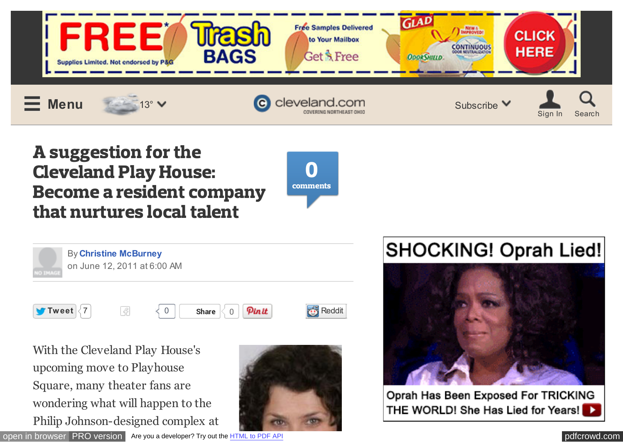

# A suggestion for the Cleveland Play House: Become a resident company that nurtures local talent





By **[Christine McBurney](http://connect.cleveland.com/user/cmcburney/posts.html)**  on June 12, 2011 at 6:00 AM



**[Tweet](https://twitter.com/intent/tweet?original_referer=http%3A%2F%2Fwww.cleveland.com%2Fcommunity-theater%2Findex.ssf%2F2011%2F06%2Fproduce_globally_act_locally.html&text=A%20suggestion%20for%20the%20Cleveland%20Play%20House%3A%20Become%20a%20resident%20company%20that%20nurtures%20local%20talent&tw_p=tweetbutton&url=http%3A%2F%2Fs.cleveland.com%2FMOSpAmf&via=clevelanddotcom)**  $\begin{bmatrix} 7 \end{bmatrix}$  $\begin{bmatrix} 7 \end{bmatrix}$  $\begin{bmatrix} 7 \end{bmatrix}$   $\begin{bmatrix} 8 \end{bmatrix}$   $\begin{bmatrix} 0 \end{bmatrix}$  **Share**  $\begin{bmatrix} 0 \end{bmatrix}$  **Pinit is a substantial conduct Like** 0



With the Cleveland Play House's upcoming move to Playhouse Square, many theater fans are wondering what will happen to the Philip Johnson-designed complex at



# **SHOCKING! Oprah Lied!**



Oprah Has Been Exposed For TRICKING THE WORLD! She Has Lied for Years!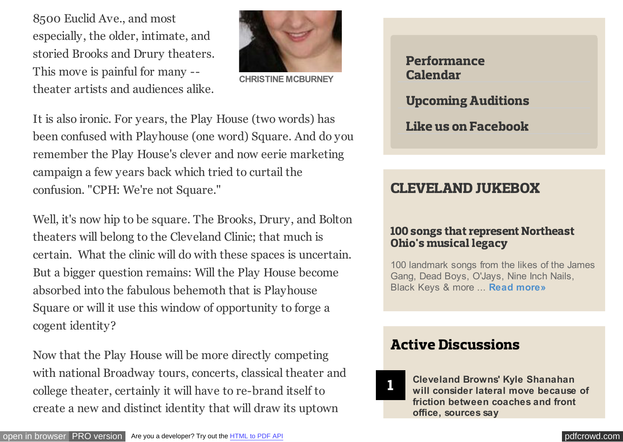8500 Euclid Ave., and most especially, the older, intimate, and storied Brooks and Drury theaters. This move is painful for many - theater artists and audiences alike.



**CHRISTINE MCBURNEY**

It is also ironic. For years, the Play House (two words) has been confused with Playhouse (one word) Square. And do you remember the Play House's clever and now eerie marketing campaign a few years back which tried to curtail the confusion. "CPH: We're not Square."

Well, it's now hip to be square. The Brooks, Drury, and Bolton theaters will belong to the Cleveland Clinic; that much is certain. What the clinic will do with these spaces is uncertain. But a bigger question remains: Will the Play House become absorbed into the fabulous behemoth that is Playhouse Square or will it use this window of opportunity to forge a cogent identity?

Now that the Play House will be more directly competing with national Broadway tours, concerts, classical theater and college theater, certainly it will have to re-brand itself to create a new and distinct identity that will draw its uptown

[Performance](http://www-stage.cleveland.com/events/results/index.ssf?pagetype=results&s=e&SearchKeyword=&SearchLocation=&SearchCategory=152&SearchDateRange=all) Calendar [Upcoming Auditions](http://topics.cleveland.com/tag/cleveland-theater-auditions/posts.html) [Like us on Facebook](https://www.facebook.com/CLEtheater)

# CLEVELAND JUKEBOX

#### [100 songs that represent Northeast](http://www.cleveland.com/music/index.ssf/2014/06/cleveland_jukebox_100_songs_th.html) Ohio's musical legacy

100 landmark songs from the likes of the James Gang, Dead Boys, O'Jays, Nine Inch Nails, Black Keys & more ... **[Read more»](http://www.cleveland.com/music/index.ssf/2014/06/cleveland_jukebox_100_songs_th.html)**

# Active Discussions

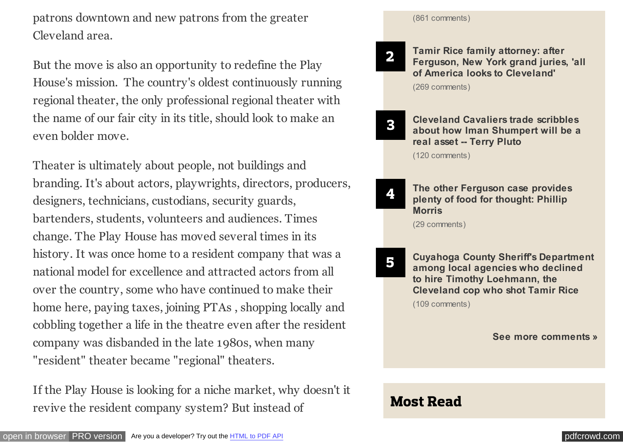patrons downtown and new patrons from the greater Cleveland area.

But the move is also an opportunity to redefine the Play House's mission. The country's oldest continuously running regional theater, the only professional regional theater with the name of our fair city in its title, should look to make an even bolder move.

Theater is ultimately about people, not buildings and branding. It's about actors, playwrights, directors, producers, designers, technicians, custodians, security guards, bartenders, students, volunteers and audiences. Times change. The Play House has moved several times in its history. It was once home to a resident company that was a national model for excellence and attracted actors from all over the country, some who have continued to make their home here, paying taxes, joining PTAs , shopping locally and cobbling together a life in the theatre even after the resident company was disbanded in the late 1980s, when many "resident" theater became "regional" theaters.

If the Play House is looking for a niche market, why doesn't it revive the resident company system? But instead of



2

4

**Tamir Rice family attorney: after [Ferguson, New York grand juries, 'all](http://www.cleveland.com/metro/index.ssf/2015/01/tamir_rice_family_attorney_aft.html) of America looks to Cleveland'** (269 comments)

3 **Cleveland Cavaliers trade scribbles [about how Iman Shumpert will be a](http://www.cleveland.com/pluto/index.ssf/2015/01/cleveland_cavaliers_scribbles_11.html) real asset -- Terry Pluto**

(120 comments)

**[The other Ferguson case provides](http://www.cleveland.com/morris/index.ssf/2015/01/the_other_ferguson_case_provid.html) plenty of food for thought: Phillip Morris**

(29 comments)

5 **[Cuyahoga County Sheriff's Department](http://www.cleveland.com/metro/index.ssf/2015/01/cuyahoga_county_sheriffs_depar_1.html) among local agencies who declined to hire Timothy Loehmann, the Cleveland cop who shot Tamir Rice** (109 comments)

**[See more comments »](http://www.cleveland.com/interact/)**

# Most Read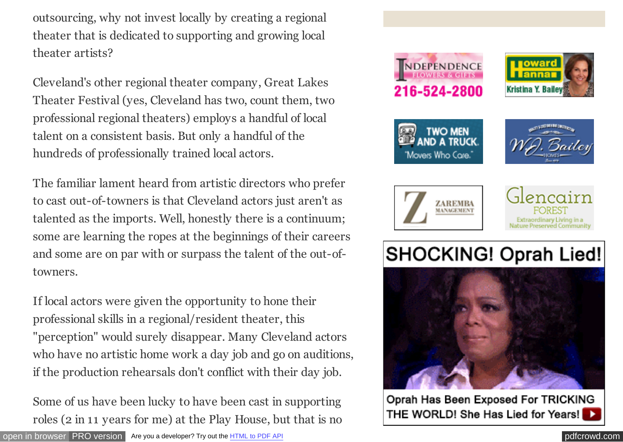outsourcing, why not invest locally by creating a regional theater that is dedicated to supporting and growing local theater artists?

Cleveland's other regional theater company, Great Lakes Theater Festival (yes, Cleveland has two, count them, two professional regional theaters) employs a handful of local talent on a consistent basis. But only a handful of the hundreds of professionally trained local actors.

The familiar lament heard from artistic directors who prefer to cast out-of-towners is that Cleveland actors just aren't as talented as the imports. Well, honestly there is a continuum; some are learning the ropes at the beginnings of their careers and some are on par with or surpass the talent of the out-oftowners.

If local actors were given the opportunity to hone their professional skills in a regional/resident theater, this "perception" would surely disappear. Many Cleveland actors who have no artistic home work a day job and go on auditions, if the production rehearsals don't conflict with their day job.

Some of us have been lucky to have been cast in supporting roles (2 in 11 years for me) at the Play House, but that is no



Oprah Has Been Exposed For TRICKING THE WORLD! She Has Lied for Years!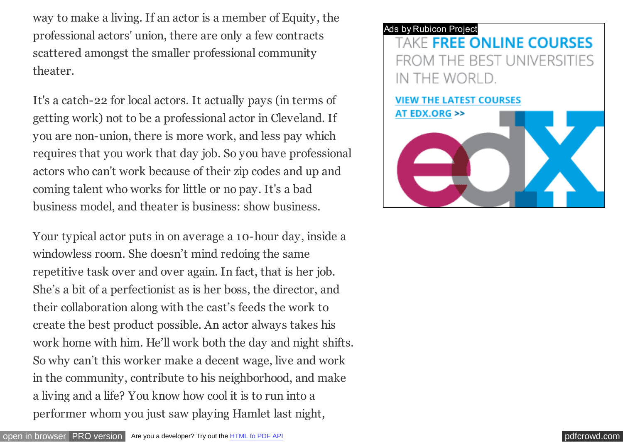way to make a living. If an actor is a member of Equity, the professional actors' union, there are only a few contracts scattered amongst the smaller professional community theater.

It's a catch-22 for local actors. It actually pays (in terms of getting work) not to be a professional actor in Cleveland. If you are non-union, there is more work, and less pay which requires that you work that day job. So you have professional actors who can't work because of their zip codes and up and coming talent who works for little or no pay. It's a bad business model, and theater is business: show business.

Your typical actor puts in on average a 10-hour day, inside a windowless room. She doesn't mind redoing the same repetitive task over and over again. In fact, that is her job. She's a bit of a perfectionist as is her boss, the director, and their collaboration along with the cast's feeds the work to create the best product possible. An actor always takes his work home with him. He'll work both the day and night shifts. So why can't this worker make a decent wage, live and work in the community, contribute to his neighborhood, and make a living and a life? You know how cool it is to run into a performer whom you just saw playing Hamlet last night,

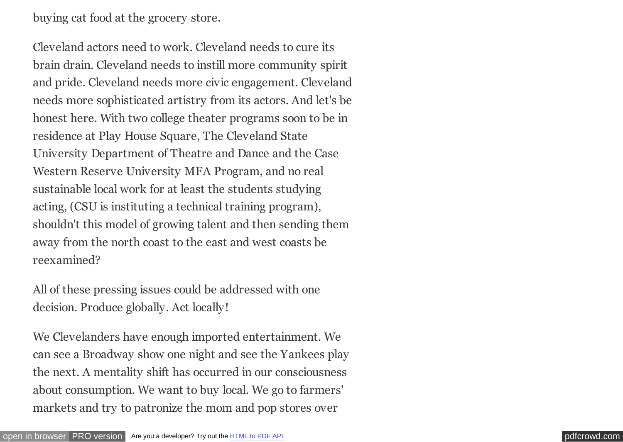buying cat food at the grocery store.

Cleveland actors need to work. Cleveland needs to cure its brain drain. Cleveland needs to instill more community spirit and pride. Cleveland needs more civic engagement. Cleveland needs more sophisticated artistry from its actors. And let's be honest here. With two college theater programs soon to be in residence at Play House Square, The Cleveland State University Department of Theatre and Dance and the Case Western Reserve University MFA Program, and no real sustainable local work for at least the students studying acting, (CSU is instituting a technical training program), shouldn't this model of growing talent and then sending them away from the north coast to the east and west coasts be reexamined?

All of these pressing issues could be addressed with one decision. Produce globally. Act locally!

We Clevelanders have enough imported entertainment. We can see a Broadway show one night and see the Yankees play the next. A mentality shift has occurred in our consciousness about consumption. We want to buy local. We go to farmers' markets and try to patronize the mom and pop stores over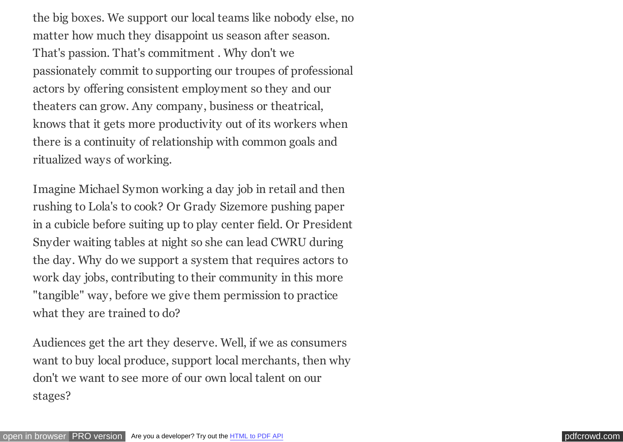the big boxes. We support our local teams like nobody else, no matter how much they disappoint us season after season. That's passion. That's commitment . Why don't we passionately commit to supporting our troupes of professional actors by offering consistent employment so they and our theaters can grow. Any company, business or theatrical, knows that it gets more productivity out of its workers when there is a continuity of relationship with common goals and ritualized ways of working.

Imagine Michael Symon working a day job in retail and then rushing to Lola's to cook? Or Grady Sizemore pushing paper in a cubicle before suiting up to play center field. Or President Snyder waiting tables at night so she can lead CWRU during the day. Why do we support a system that requires actors to work day jobs, contributing to their community in this more "tangible" way, before we give them permission to practice what they are trained to do?

Audiences get the art they deserve. Well, if we as consumers want to buy local produce, support local merchants, then why don't we want to see more of our own local talent on our stages?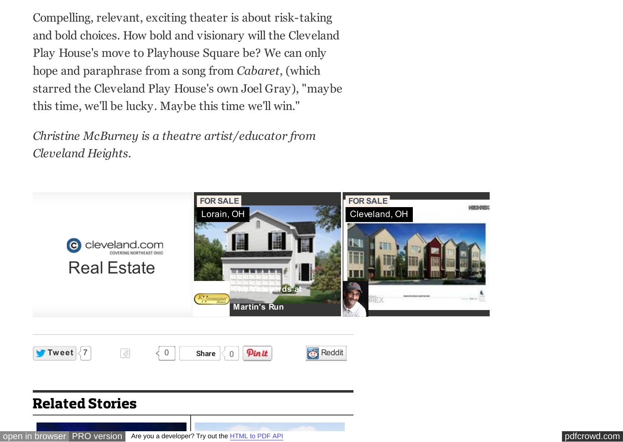Compelling, relevant, exciting theater is about risk-taking and bold choices. How bold and visionary will the Cleveland Play House's move to Playhouse Square be? We can only hope and paraphrase from a song from *Cabaret*, (which starred the Cleveland Play House's own Joel Gray), "maybe this time, we'll be lucky. Maybe this time we'll win."

*Christine McBurney is a theatre artist/educator from Cleveland Heights.*



#### Related Stories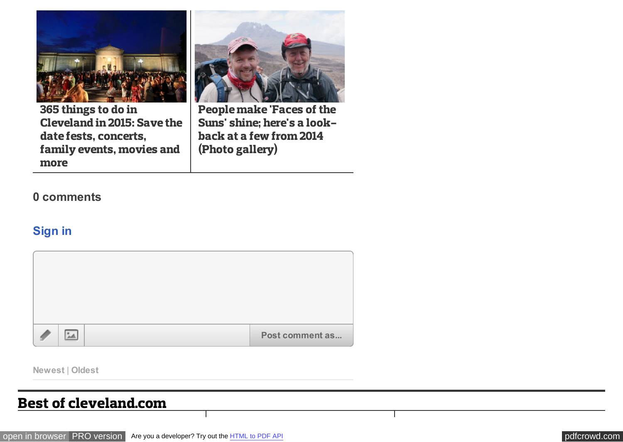<span id="page-8-0"></span>

365 things to do in [Cleveland in 2015: Save the](http://www.cleveland.com/entertainment/index.ssf/2015/01/365_things_to_do_in_cleveland_25.html#incart_related_stories) date fests, concerts, family events, movies and more



People make 'Faces of the [Suns' shine; here's a look](http://www.cleveland.com/faces-of-the-suns/index.ssf/2015/01/post_11.html#incart_related_stories)back at a few from 2014 (Photo gallery)

#### **0 comments**

#### **Sign in**



**Newest** | **Oldest**

#### Best of cleveland.com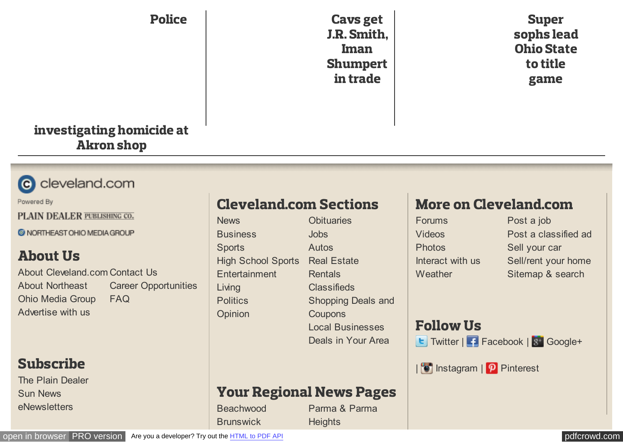#### Police

Cavs get [J.R. Smith,](http://www.cleveland.com/cavs/index.ssf/2015/01/cleveland_cavaliers_expected_t_3.html#incart_2box%23incart_hbx%23incart_best-of) Iman Shumpert in trade

Super [sophs lead](http://www.cleveland.com/osu/index.ssf/2015/01/super_sophs_again_as_second-ye.html#incart_hbx%23incart_best-of) Ohio State to title game

#### [investigating homicide at](http://www.cleveland.com/community-theater/index.ssf/2011/06/Police%20investigating%20homicide%20of%20man,%2054,%20inside%20Akron%20sports%20collectibles%20shop#incart_hbx%23incart_best-of) Akron shop



Powered By

PLAIN DEALER PUBLISHING CO.

C NORTHEAST OHIO MEDIA GROUP

# About Us

[About Cleveland.com](http://www.cleveland.com/aboutus/) [Contact Us](http://www.cleveland.com/contactus/) About Northeast [Ohio Media Group](http://www.neohiomediagroup.com/) [Advertise with us](http://www.neohiomediagroup.com/advertising-solutions/) [Career Opportunities](http://jobs.cleveland.com/jobs/northeast-ohio-media-group-985684-cd) [FAQ](http://blog.cleveland.com/updates/2009/08/community_faq.html)

### Subscribe

[The Plain Dealer](http://members.plaindealer.com/dssSubscribe.aspx) [Sun News](http://www.cleveland.com/sun/subscribe) [eNewsletters](http://www.cleveland.com/newsletters/)

# Cleveland.com Sections

[News](http://www.cleveland.com/news/) **[Business](http://www.cleveland.com/business/) [Sports](http://www.cleveland.com/sports/)** [High School Sports](http://highschoolsports.cleveland.com/) [Entertainment](http://www.cleveland.com/entertainment/) [Living](http://www.cleveland.com/living/) **[Politics](http://www.cleveland.com/open/)** [Opinion](http://www.cleveland.com/opinion/)

**[Obituaries](http://obits.cleveland.com/Cleveland/DeathNotices.asp)** [Jobs](http://www.cleveland.com/jobs/) [Autos](http://autos.cleveland.com/) [Real Estate](http://realestate.cleveland.com/) **[Rentals](http://realestate.cleveland.com/for-rent) [Classifieds](http://classifieds.cleveland.com/)** [Shopping Deals and](http://findnsave.cleveland.com/) **Coupons** [Local Businesses](http://businessfinder.cleveland.com/) [Deals in Your Area](http://update.cleveland.com/adv_cleveland/newsletters/cleve/subscribe.htm#topicf)

# More on Cleveland.com

[Forums](http://www.cleveland.com/forums/) [Videos](http://videos.cleveland.com/) **[Photos](http://photos.cleveland.com/)** [Interact with us](http://www.cleveland.com/interact/) **[Weather](http://www.cleveland.com/weather/)** 

[Post a job](http://www.cleveland.com/jobs/products/index.ssf) [Post a classified ad](http://www.cleveland.com/placead/) [Sell your car](http://www.cleveland.com/placead/) [Sell/rent your home](http://www.cleveland.com/placead/) [Sitemap & search](http://www.cleveland.com/siteindex)

# Follow Us

E [Twitter](http://twitter.com/clevelanddotcom) | [Facebook](http://www.facebook.com/pages/clevelandcom/48573742500) | 8 [Google+](https://plus.google.com/u/0/b/107235278707360504631/107235278707360504631/posts)

| **D** [Instagram](http://instagram.com/clevelanddotcom) | **P** [Pinterest](http://www.pinterest.com/clevelanddotcom/)

# Your Regional News Pages

**[Beachwood](http://www.cleveland.com/beachwood) [Brunswick](http://www.cleveland.com/brunswick)** 

[Parma & Parma](http://www.cleveland.com/parma) **Heights**